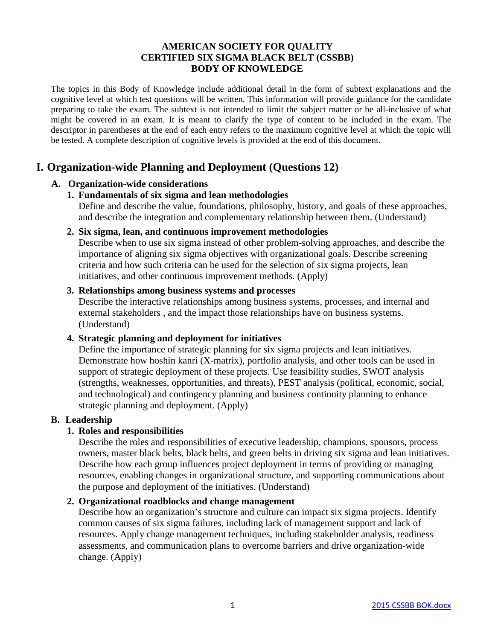## **AMERICAN SOCIETY FOR QUALITY CERTIFIED SIX SIGMA BLACK BELT (CSSBB) BODY OF KNOWLEDGE**

The topics in this Body of Knowledge include additional detail in the form of subtext explanations and the cognitive level at which test questions will be written. This information will provide guidance for the candidate preparing to take the exam. The subtext is not intended to limit the subject matter or be all-inclusive of what might be covered in an exam. It is meant to clarify the type of content to be included in the exam. The descriptor in parentheses at the end of each entry refers to the maximum cognitive level at which the topic will be tested. A complete description of cognitive levels is provided at the end of this document.

## **I. Organization-wide Planning and Deployment (Questions 12)**

## **A. Organization-wide considerations**

## **1. Fundamentals of six sigma and lean methodologies**

Define and describe the value, foundations, philosophy, history, and goals of these approaches, and describe the integration and complementary relationship between them. (Understand)

## **2. Six sigma, lean, and continuous improvement methodologies**

Describe when to use six sigma instead of other problem-solving approaches, and describe the importance of aligning six sigma objectives with organizational goals. Describe screening criteria and how such criteria can be used for the selection of six sigma projects, lean initiatives, and other continuous improvement methods. (Apply)

### **3. Relationships among business systems and processes**

Describe the interactive relationships among business systems, processes, and internal and external stakeholders , and the impact those relationships have on business systems. (Understand)

## **4. Strategic planning and deployment for initiatives**

Define the importance of strategic planning for six sigma projects and lean initiatives. Demonstrate how hoshin kanri (X-matrix), portfolio analysis, and other tools can be used in support of strategic deployment of these projects. Use feasibility studies, SWOT analysis (strengths, weaknesses, opportunities, and threats), PEST analysis (political, economic, social, and technological) and contingency planning and business continuity planning to enhance strategic planning and deployment. (Apply)

## **B. Leadership**

## **1. Roles and responsibilities**

Describe the roles and responsibilities of executive leadership, champions, sponsors, process owners, master black belts, black belts, and green belts in driving six sigma and lean initiatives. Describe how each group influences project deployment in terms of providing or managing resources, enabling changes in organizational structure, and supporting communications about the purpose and deployment of the initiatives. (Understand)

## **2. Organizational roadblocks and change management**

Describe how an organization's structure and culture can impact six sigma projects. Identify common causes of six sigma failures, including lack of management support and lack of resources. Apply change management techniques, including stakeholder analysis, readiness assessments, and communication plans to overcome barriers and drive organization-wide change. (Apply)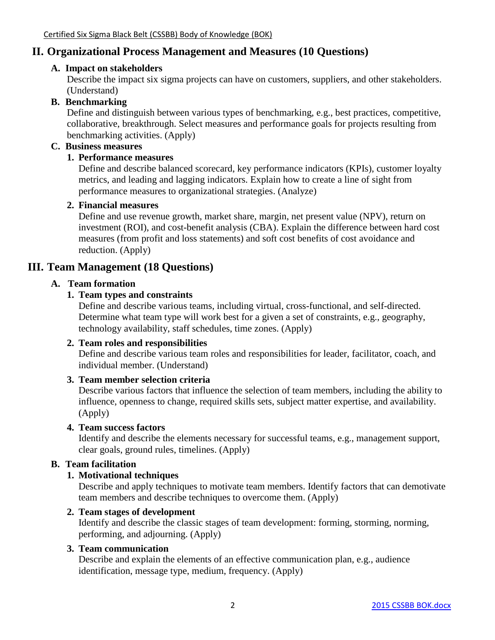## **II. Organizational Process Management and Measures (10 Questions)**

## **A. Impact on stakeholders**

Describe the impact six sigma projects can have on customers, suppliers, and other stakeholders. (Understand)

## **B. Benchmarking**

Define and distinguish between various types of benchmarking, e.g., best practices, competitive, collaborative, breakthrough. Select measures and performance goals for projects resulting from benchmarking activities. (Apply)

### **C. Business measures**

## **1. Performance measures**

Define and describe balanced scorecard, key performance indicators (KPIs), customer loyalty metrics, and leading and lagging indicators. Explain how to create a line of sight from performance measures to organizational strategies. (Analyze)

### **2. Financial measures**

Define and use revenue growth, market share, margin, net present value (NPV), return on investment (ROI), and cost-benefit analysis (CBA). Explain the difference between hard cost measures (from profit and loss statements) and soft cost benefits of cost avoidance and reduction. (Apply)

## **III. Team Management (18 Questions)**

## **A. Team formation**

## **1. Team types and constraints**

Define and describe various teams, including virtual, cross-functional, and self-directed. Determine what team type will work best for a given a set of constraints, e.g., geography, technology availability, staff schedules, time zones. (Apply)

## **2. Team roles and responsibilities**

Define and describe various team roles and responsibilities for leader, facilitator, coach, and individual member. (Understand)

## **3. Team member selection criteria**

Describe various factors that influence the selection of team members, including the ability to influence, openness to change, required skills sets, subject matter expertise, and availability. (Apply)

## **4. Team success factors**

Identify and describe the elements necessary for successful teams, e.g., management support, clear goals, ground rules, timelines. (Apply)

## **B. Team facilitation**

## **1. Motivational techniques**

Describe and apply techniques to motivate team members. Identify factors that can demotivate team members and describe techniques to overcome them. (Apply)

## **2. Team stages of development**

Identify and describe the classic stages of team development: forming, storming, norming, performing, and adjourning. (Apply)

## **3. Team communication**

Describe and explain the elements of an effective communication plan, e.g., audience identification, message type, medium, frequency. (Apply)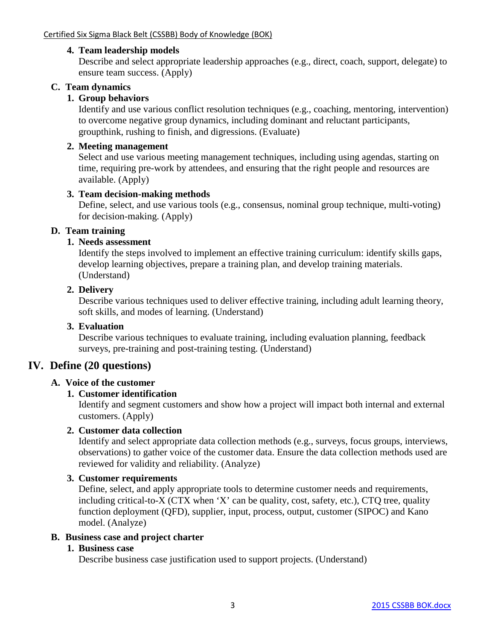## **4. Team leadership models**

Describe and select appropriate leadership approaches (e.g., direct, coach, support, delegate) to ensure team success. (Apply)

### **C. Team dynamics**

## **1. Group behaviors**

Identify and use various conflict resolution techniques (e.g., coaching, mentoring, intervention) to overcome negative group dynamics, including dominant and reluctant participants, groupthink, rushing to finish, and digressions. (Evaluate)

## **2. Meeting management**

Select and use various meeting management techniques, including using agendas, starting on time, requiring pre-work by attendees, and ensuring that the right people and resources are available. (Apply)

### **3. Team decision-making methods**

Define, select, and use various tools (e.g., consensus, nominal group technique, multi-voting) for decision-making. (Apply)

### **D. Team training**

### **1. Needs assessment**

Identify the steps involved to implement an effective training curriculum: identify skills gaps, develop learning objectives, prepare a training plan, and develop training materials. (Understand)

### **2. Delivery**

Describe various techniques used to deliver effective training, including adult learning theory, soft skills, and modes of learning. (Understand)

### **3. Evaluation**

Describe various techniques to evaluate training, including evaluation planning, feedback surveys, pre-training and post-training testing. (Understand)

## **IV. Define (20 questions)**

### **A. Voice of the customer**

## **1. Customer identification**

Identify and segment customers and show how a project will impact both internal and external customers. (Apply)

### **2. Customer data collection**

Identify and select appropriate data collection methods (e.g., surveys, focus groups, interviews, observations) to gather voice of the customer data. Ensure the data collection methods used are reviewed for validity and reliability. (Analyze)

### **3. Customer requirements**

Define, select, and apply appropriate tools to determine customer needs and requirements, including critical-to-X (CTX when 'X' can be quality, cost, safety, etc.), CTQ tree, quality function deployment (QFD), supplier, input, process, output, customer (SIPOC) and Kano model. (Analyze)

### **B. Business case and project charter**

### **1. Business case**

Describe business case justification used to support projects. (Understand)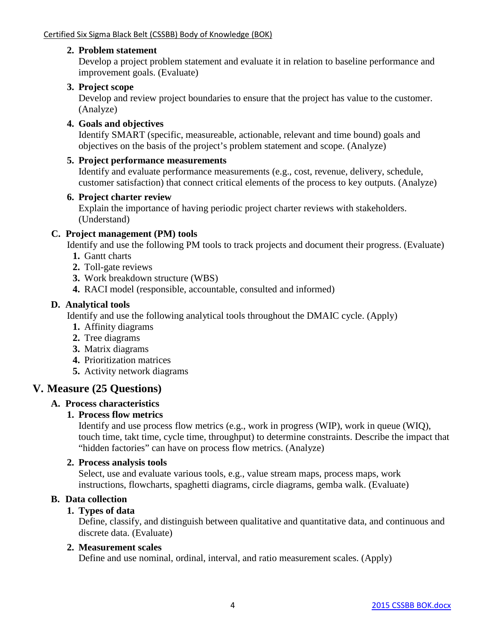## **2. Problem statement**

Develop a project problem statement and evaluate it in relation to baseline performance and improvement goals. (Evaluate)

## **3. Project scope**

Develop and review project boundaries to ensure that the project has value to the customer. (Analyze)

## **4. Goals and objectives**

Identify SMART (specific, measureable, actionable, relevant and time bound) goals and objectives on the basis of the project's problem statement and scope. (Analyze)

### **5. Project performance measurements**

Identify and evaluate performance measurements (e.g., cost, revenue, delivery, schedule, customer satisfaction) that connect critical elements of the process to key outputs. (Analyze)

### **6. Project charter review**

Explain the importance of having periodic project charter reviews with stakeholders. (Understand)

### **C. Project management (PM) tools**

Identify and use the following PM tools to track projects and document their progress. (Evaluate)

- **1.** Gantt charts
- **2.** Toll-gate reviews
- **3.** Work breakdown structure (WBS)
- **4.** RACI model (responsible, accountable, consulted and informed)

### **D. Analytical tools**

Identify and use the following analytical tools throughout the DMAIC cycle. (Apply)

- **1.** Affinity diagrams
- **2.** Tree diagrams
- **3.** Matrix diagrams
- **4.** Prioritization matrices
- **5.** Activity network diagrams

## **V. Measure (25 Questions)**

## **A. Process characteristics**

### **1. Process flow metrics**

Identify and use process flow metrics (e.g., work in progress (WIP), work in queue (WIQ), touch time, takt time, cycle time, throughput) to determine constraints. Describe the impact that "hidden factories" can have on process flow metrics. (Analyze)

### **2. Process analysis tools**

Select, use and evaluate various tools, e.g., value stream maps, process maps, work instructions, flowcharts, spaghetti diagrams, circle diagrams, gemba walk. (Evaluate)

### **B. Data collection**

## **1. Types of data**

Define, classify, and distinguish between qualitative and quantitative data, and continuous and discrete data. (Evaluate)

### **2. Measurement scales**

Define and use nominal, ordinal, interval, and ratio measurement scales. (Apply)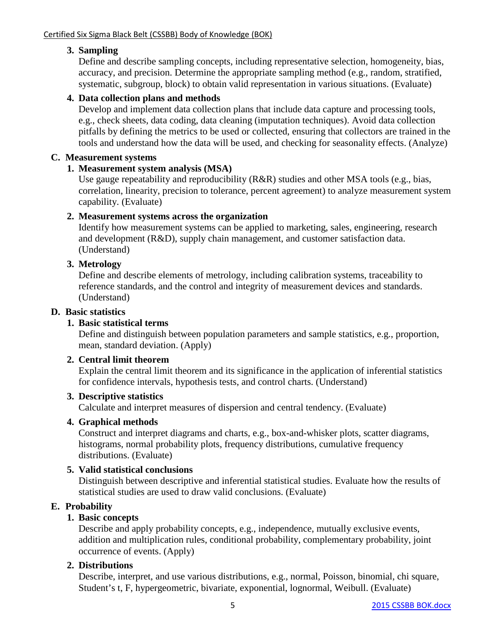## **3. Sampling**

Define and describe sampling concepts, including representative selection, homogeneity, bias, accuracy, and precision. Determine the appropriate sampling method (e.g., random, stratified, systematic, subgroup, block) to obtain valid representation in various situations. (Evaluate)

## **4. Data collection plans and methods**

Develop and implement data collection plans that include data capture and processing tools, e.g., check sheets, data coding, data cleaning (imputation techniques). Avoid data collection pitfalls by defining the metrics to be used or collected, ensuring that collectors are trained in the tools and understand how the data will be used, and checking for seasonality effects. (Analyze)

## **C. Measurement systems**

## **1. Measurement system analysis (MSA)**

Use gauge repeatability and reproducibility (R&R) studies and other MSA tools (e.g., bias, correlation, linearity, precision to tolerance, percent agreement) to analyze measurement system capability. (Evaluate)

## **2. Measurement systems across the organization**

Identify how measurement systems can be applied to marketing, sales, engineering, research and development (R&D), supply chain management, and customer satisfaction data. (Understand)

## **3. Metrology**

Define and describe elements of metrology, including calibration systems, traceability to reference standards, and the control and integrity of measurement devices and standards. (Understand)

## **D. Basic statistics**

## **1. Basic statistical terms**

Define and distinguish between population parameters and sample statistics, e.g., proportion, mean, standard deviation. (Apply)

## **2. Central limit theorem**

Explain the central limit theorem and its significance in the application of inferential statistics for confidence intervals, hypothesis tests, and control charts. (Understand)

## **3. Descriptive statistics**

Calculate and interpret measures of dispersion and central tendency. (Evaluate)

## **4. Graphical methods**

Construct and interpret diagrams and charts, e.g., box-and-whisker plots, scatter diagrams, histograms, normal probability plots, frequency distributions, cumulative frequency distributions. (Evaluate)

## **5. Valid statistical conclusions**

Distinguish between descriptive and inferential statistical studies. Evaluate how the results of statistical studies are used to draw valid conclusions. (Evaluate)

## **E. Probability**

## **1. Basic concepts**

Describe and apply probability concepts, e.g., independence, mutually exclusive events, addition and multiplication rules, conditional probability, complementary probability, joint occurrence of events. (Apply)

## **2. Distributions**

Describe, interpret, and use various distributions, e.g., normal, Poisson, binomial, chi square, Student's t, F, hypergeometric, bivariate, exponential, lognormal, Weibull. (Evaluate)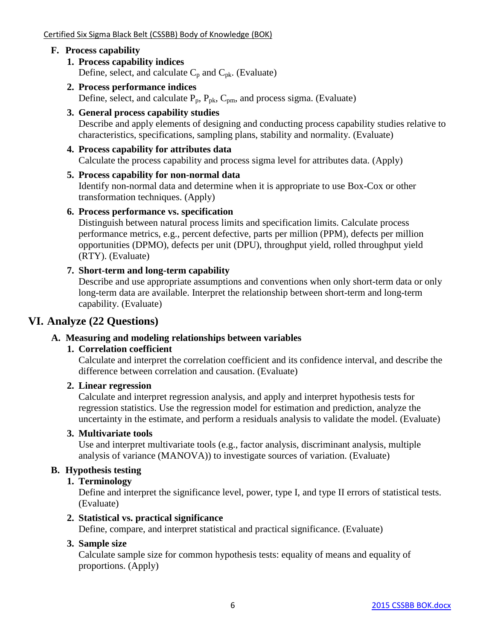## **F. Process capability**

- **1. Process capability indices**  Define, select, and calculate  $C_p$  and  $C_{pk}$ . (Evaluate)
- **2. Process performance indices**  Define, select, and calculate  $P_p$ ,  $P_{pk}$ ,  $C_{pm}$ , and process sigma. (Evaluate)
- **3. General process capability studies** Describe and apply elements of designing and conducting process capability studies relative to characteristics, specifications, sampling plans, stability and normality. (Evaluate)
- **4. Process capability for attributes data** Calculate the process capability and process sigma level for attributes data. (Apply)

## **5. Process capability for non-normal data**

Identify non-normal data and determine when it is appropriate to use Box-Cox or other transformation techniques. (Apply)

## **6. Process performance vs. specification**

Distinguish between natural process limits and specification limits. Calculate process performance metrics, e.g., percent defective, parts per million (PPM), defects per million opportunities (DPMO), defects per unit (DPU), throughput yield, rolled throughput yield (RTY). (Evaluate)

## **7. Short-term and long-term capability**

Describe and use appropriate assumptions and conventions when only short-term data or only long-term data are available. Interpret the relationship between short-term and long-term capability. (Evaluate)

## **VI. Analyze (22 Questions)**

## **A. Measuring and modeling relationships between variables**

## **1. Correlation coefficient**

Calculate and interpret the correlation coefficient and its confidence interval, and describe the difference between correlation and causation. (Evaluate)

## **2. Linear regression**

Calculate and interpret regression analysis, and apply and interpret hypothesis tests for regression statistics. Use the regression model for estimation and prediction, analyze the uncertainty in the estimate, and perform a residuals analysis to validate the model. (Evaluate)

## **3. Multivariate tools**

Use and interpret multivariate tools (e.g., factor analysis, discriminant analysis, multiple analysis of variance (MANOVA)) to investigate sources of variation. (Evaluate)

## **B. Hypothesis testing**

## **1. Terminology**

Define and interpret the significance level, power, type I, and type II errors of statistical tests. (Evaluate)

## **2. Statistical vs. practical significance**

Define, compare, and interpret statistical and practical significance. (Evaluate)

## **3. Sample size**

Calculate sample size for common hypothesis tests: equality of means and equality of proportions. (Apply)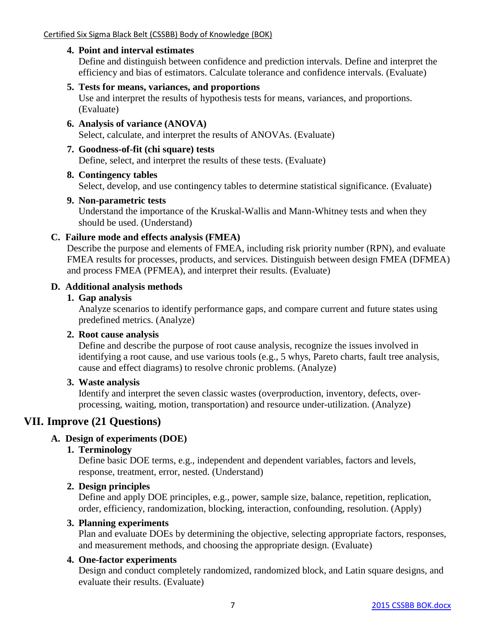### Certified Six Sigma Black Belt (CSSBB) Body of Knowledge (BOK)

### **4. Point and interval estimates**

Define and distinguish between confidence and prediction intervals. Define and interpret the efficiency and bias of estimators. Calculate tolerance and confidence intervals. (Evaluate)

### **5. Tests for means, variances, and proportions**

Use and interpret the results of hypothesis tests for means, variances, and proportions. (Evaluate)

#### **6. Analysis of variance (ANOVA)**

Select, calculate, and interpret the results of ANOVAs. (Evaluate)

# **7. Goodness-of-fit (chi square) tests**

Define, select, and interpret the results of these tests. (Evaluate)

### **8. Contingency tables**

Select, develop, and use contingency tables to determine statistical significance. (Evaluate)

### **9. Non-parametric tests**

Understand the importance of the Kruskal-Wallis and Mann-Whitney tests and when they should be used. (Understand)

### **C. Failure mode and effects analysis (FMEA)**

Describe the purpose and elements of FMEA, including risk priority number (RPN), and evaluate FMEA results for processes, products, and services. Distinguish between design FMEA (DFMEA) and process FMEA (PFMEA), and interpret their results. (Evaluate)

#### **D. Additional analysis methods**

### **1. Gap analysis**

Analyze scenarios to identify performance gaps, and compare current and future states using predefined metrics. (Analyze)

### **2. Root cause analysis**

Define and describe the purpose of root cause analysis, recognize the issues involved in identifying a root cause, and use various tools (e.g., 5 whys, Pareto charts, fault tree analysis, cause and effect diagrams) to resolve chronic problems. (Analyze)

### **3. Waste analysis**

Identify and interpret the seven classic wastes (overproduction, inventory, defects, overprocessing, waiting, motion, transportation) and resource under-utilization. (Analyze)

## **VII. Improve (21 Questions)**

### **A. Design of experiments (DOE)**

### **1. Terminology**

Define basic DOE terms, e.g., independent and dependent variables, factors and levels, response, treatment, error, nested. (Understand)

### **2. Design principles**

Define and apply DOE principles, e.g., power, sample size, balance, repetition, replication, order, efficiency, randomization, blocking, interaction, confounding, resolution. (Apply)

### **3. Planning experiments**

Plan and evaluate DOEs by determining the objective, selecting appropriate factors, responses, and measurement methods, and choosing the appropriate design. (Evaluate)

### **4. One-factor experiments**

Design and conduct completely randomized, randomized block, and Latin square designs, and evaluate their results. (Evaluate)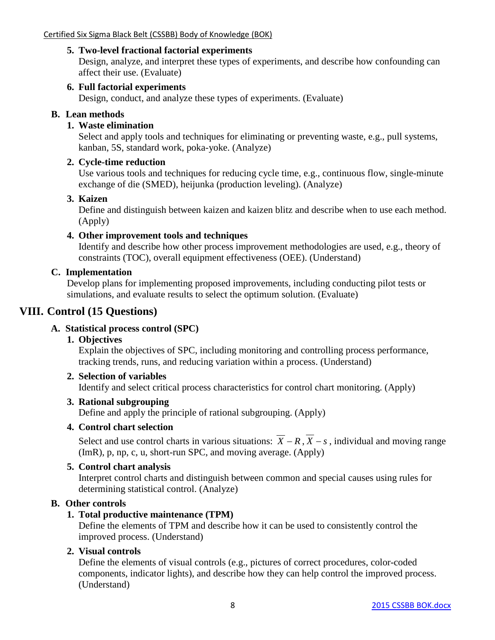### **5. Two-level fractional factorial experiments**

Design, analyze, and interpret these types of experiments, and describe how confounding can affect their use. (Evaluate)

### **6. Full factorial experiments**

Design, conduct, and analyze these types of experiments. (Evaluate)

### **B. Lean methods**

## **1. Waste elimination**

Select and apply tools and techniques for eliminating or preventing waste, e.g., pull systems, kanban, 5S, standard work, poka-yoke. (Analyze)

## **2. Cycle-time reduction**

Use various tools and techniques for reducing cycle time, e.g., continuous flow, single-minute exchange of die (SMED), heijunka (production leveling). (Analyze)

### **3. Kaizen**

Define and distinguish between kaizen and kaizen blitz and describe when to use each method. (Apply)

### **4. Other improvement tools and techniques**

Identify and describe how other process improvement methodologies are used, e.g., theory of constraints (TOC), overall equipment effectiveness (OEE). (Understand)

### **C. Implementation**

Develop plans for implementing proposed improvements, including conducting pilot tests or simulations, and evaluate results to select the optimum solution. (Evaluate)

## **VIII. Control (15 Questions)**

## **A. Statistical process control (SPC)**

### **1. Objectives**

Explain the objectives of SPC, including monitoring and controlling process performance, tracking trends, runs, and reducing variation within a process. (Understand)

### **2. Selection of variables**

Identify and select critical process characteristics for control chart monitoring. (Apply)

## **3. Rational subgrouping**

Define and apply the principle of rational subgrouping. (Apply)

### **4. Control chart selection**

Select and use control charts in various situations:  $\overline{X} - R$ ,  $\overline{X} - s$ , individual and moving range (ImR), p, np, c, u, short-run SPC, and moving average. (Apply)

### **5. Control chart analysis**

Interpret control charts and distinguish between common and special causes using rules for determining statistical control. (Analyze)

### **B. Other controls**

### **1. Total productive maintenance (TPM)**

Define the elements of TPM and describe how it can be used to consistently control the improved process. (Understand)

## **2. Visual controls**

Define the elements of visual controls (e.g., pictures of correct procedures, color-coded components, indicator lights), and describe how they can help control the improved process. (Understand)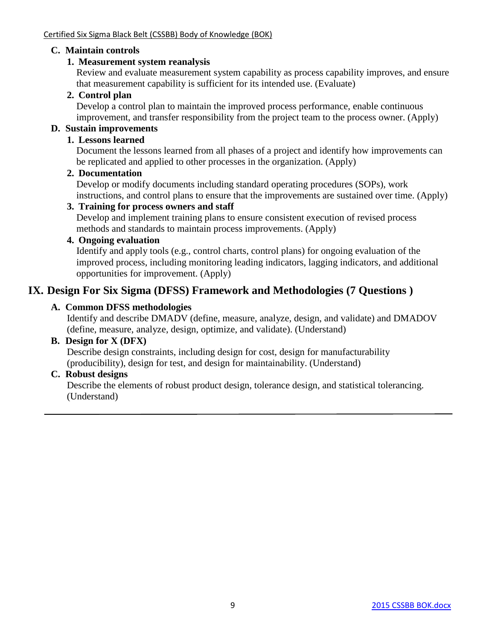## **C. Maintain controls**

## **1. Measurement system reanalysis**

Review and evaluate measurement system capability as process capability improves, and ensure that measurement capability is sufficient for its intended use. (Evaluate)

## **2. Control plan**

Develop a control plan to maintain the improved process performance, enable continuous improvement, and transfer responsibility from the project team to the process owner. (Apply)

## **D. Sustain improvements**

### **1. Lessons learned**

Document the lessons learned from all phases of a project and identify how improvements can be replicated and applied to other processes in the organization. (Apply)

## **2. Documentation**

Develop or modify documents including standard operating procedures (SOPs), work instructions, and control plans to ensure that the improvements are sustained over time. (Apply)

### **3. Training for process owners and staff**

Develop and implement training plans to ensure consistent execution of revised process methods and standards to maintain process improvements. (Apply)

## **4. Ongoing evaluation**

Identify and apply tools (e.g., control charts, control plans) for ongoing evaluation of the improved process, including monitoring leading indicators, lagging indicators, and additional opportunities for improvement. (Apply)

## **IX. Design For Six Sigma (DFSS) Framework and Methodologies (7 Questions )**

## **A. Common DFSS methodologies**

Identify and describe DMADV (define, measure, analyze, design, and validate) and DMADOV (define, measure, analyze, design, optimize, and validate). (Understand)

## **B. Design for X (DFX)**

Describe design constraints, including design for cost, design for manufacturability (producibility), design for test, and design for maintainability. (Understand)

### **C. Robust designs**

Describe the elements of robust product design, tolerance design, and statistical tolerancing. (Understand)